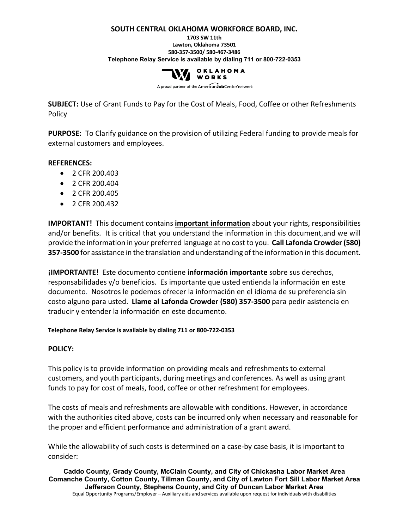#### **SOUTH CENTRAL OKLAHOMA WORKFORCE BOARD, INC.**

**1703 SW 11th Lawton, Oklahoma 73501 580-357-3500/ 580-467-3486 Telephone Relay Service is available by dialing 711 or 800-722-0353**



A proud partner of the AmericanJobCenter network

**SUBJECT:** Use of Grant Funds to Pay for the Cost of Meals, Food, Coffee or other Refreshments Policy

**PURPOSE:** To Clarify guidance on the provision of utilizing Federal funding to provide meals for external customers and employees.

## **REFERENCES:**

- 2 CFR 200.403
- 2 CFR 200.404
- 2 CFR 200.405
- 2 CFR 200.432

**IMPORTANT!** This document contains **important information** about your rights, responsibilities and/or benefits. It is critical that you understand the information in this document,and we will provide the information in your preferred language at no cost to you. **Call Lafonda Crowder (580) 357-3500** for assistance in the translation and understanding of the information in this document.

**¡IMPORTANTE!** Este documento contiene **información importante** sobre sus derechos, responsabilidades y/o beneficios. Es importante que usted entienda la información en este documento. Nosotros le podemos ofrecer la información en el idioma de su preferencia sin costo alguno para usted. **Llame al Lafonda Crowder (580) 357-3500** para pedir asistencia en traducir y entender la información en este documento.

## **Telephone Relay Service is available by dialing 711 or 800-722-0353**

## **POLICY:**

This policy is to provide information on providing meals and refreshments to external customers, and youth participants, during meetings and conferences. As well as using grant funds to pay for cost of meals, food, coffee or other refreshment for employees.

The costs of meals and refreshments are allowable with conditions. However, in accordance with the authorities cited above, costs can be incurred only when necessary and reasonable for the proper and efficient performance and administration of a grant award.

While the allowability of such costs is determined on a case-by case basis, it is important to consider:

**Caddo County, Grady County, McClain County, and City of Chickasha Labor Market Area Comanche County, Cotton County, Tillman County, and City of Lawton Fort Sill Labor Market Area Jefferson County, Stephens County, and City of Duncan Labor Market Area** Equal Opportunity Programs/Employer – Auxiliary aids and services available upon request for individuals with disabilities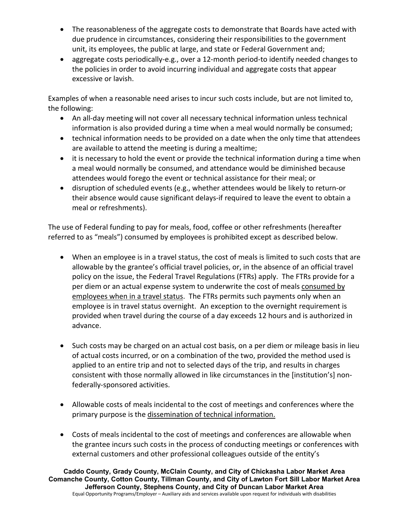- The reasonableness of the aggregate costs to demonstrate that Boards have acted with due prudence in circumstances, considering their responsibilities to the government unit, its employees, the public at large, and state or Federal Government and;
- aggregate costs periodically-e.g., over a 12-month period-to identify needed changes to the policies in order to avoid incurring individual and aggregate costs that appear excessive or lavish.

Examples of when a reasonable need arises to incur such costs include, but are not limited to, the following:

- An all-day meeting will not cover all necessary technical information unless technical information is also provided during a time when a meal would normally be consumed;
- technical information needs to be provided on a date when the only time that attendees are available to attend the meeting is during a mealtime;
- it is necessary to hold the event or provide the technical information during a time when a meal would normally be consumed, and attendance would be diminished because attendees would forego the event or technical assistance for their meal; or
- disruption of scheduled events (e.g., whether attendees would be likely to return-or their absence would cause significant delays-if required to leave the event to obtain a meal or refreshments).

The use of Federal funding to pay for meals, food, coffee or other refreshments (hereafter referred to as "meals") consumed by employees is prohibited except as described below.

- When an employee is in a travel status, the cost of meals is limited to such costs that are allowable by the grantee's official travel policies, or, in the absence of an official travel policy on the issue, the Federal Travel Regulations (FTRs) apply. The FTRs provide for a per diem or an actual expense system to underwrite the cost of meals consumed by employees when in a travel status. The FTRs permits such payments only when an employee is in travel status overnight. An exception to the overnight requirement is provided when travel during the course of a day exceeds 12 hours and is authorized in advance.
- Such costs may be charged on an actual cost basis, on a per diem or mileage basis in lieu of actual costs incurred, or on a combination of the two, provided the method used is applied to an entire trip and not to selected days of the trip, and results in charges consistent with those normally allowed in like circumstances in the [institution's] nonfederally-sponsored activities.
- Allowable costs of meals incidental to the cost of meetings and conferences where the primary purpose is the dissemination of technical information.
- Costs of meals incidental to the cost of meetings and conferences are allowable when the grantee incurs such costs in the process of conducting meetings or conferences with external customers and other professional colleagues outside of the entity's

**Caddo County, Grady County, McClain County, and City of Chickasha Labor Market Area Comanche County, Cotton County, Tillman County, and City of Lawton Fort Sill Labor Market Area Jefferson County, Stephens County, and City of Duncan Labor Market Area** Equal Opportunity Programs/Employer – Auxiliary aids and services available upon request for individuals with disabilities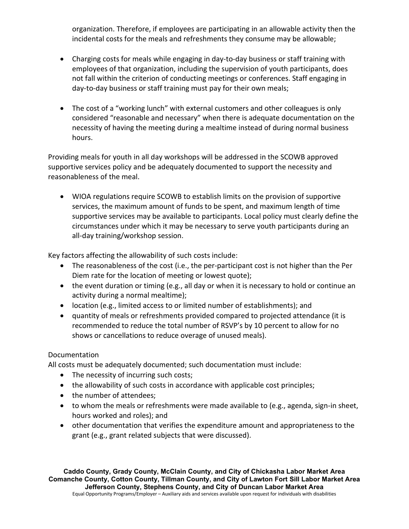organization. Therefore, if employees are participating in an allowable activity then the incidental costs for the meals and refreshments they consume may be allowable;

- Charging costs for meals while engaging in day-to-day business or staff training with employees of that organization, including the supervision of youth participants, does not fall within the criterion of conducting meetings or conferences. Staff engaging in day-to-day business or staff training must pay for their own meals;
- The cost of a "working lunch" with external customers and other colleagues is only considered "reasonable and necessary" when there is adequate documentation on the necessity of having the meeting during a mealtime instead of during normal business hours.

Providing meals for youth in all day workshops will be addressed in the SCOWB approved supportive services policy and be adequately documented to support the necessity and reasonableness of the meal.

• WIOA regulations require SCOWB to establish limits on the provision of supportive services, the maximum amount of funds to be spent, and maximum length of time supportive services may be available to participants. Local policy must clearly define the circumstances under which it may be necessary to serve youth participants during an all-day training/workshop session.

Key factors affecting the allowability of such costs include:

- The reasonableness of the cost (i.e., the per-participant cost is not higher than the Per Diem rate for the location of meeting or lowest quote);
- the event duration or timing (e.g., all day or when it is necessary to hold or continue an activity during a normal mealtime);
- location (e.g., limited access to or limited number of establishments); and
- quantity of meals or refreshments provided compared to projected attendance (it is recommended to reduce the total number of RSVP's by 10 percent to allow for no shows or cancellations to reduce overage of unused meals).

## Documentation

All costs must be adequately documented; such documentation must include:

- The necessity of incurring such costs;
- the allowability of such costs in accordance with applicable cost principles;
- the number of attendees;
- to whom the meals or refreshments were made available to (e.g., agenda, sign-in sheet, hours worked and roles); and
- other documentation that verifies the expenditure amount and appropriateness to the grant (e.g., grant related subjects that were discussed).